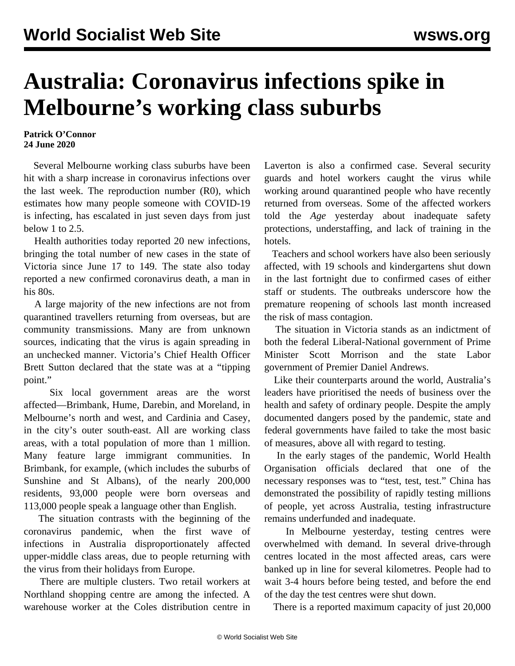## **Australia: Coronavirus infections spike in Melbourne's working class suburbs**

## **Patrick O'Connor 24 June 2020**

 Several Melbourne working class suburbs have been hit with a sharp increase in coronavirus infections over the last week. The reproduction number (R0), which estimates how many people someone with COVID-19 is infecting, has escalated in just seven days from just below 1 to 2.5.

 Health authorities today reported 20 new infections, bringing the total number of new cases in the state of Victoria since June 17 to 149. The state also today reported a new confirmed coronavirus death, a man in his 80s.

 A large majority of the new infections are not from quarantined travellers returning from overseas, but are community transmissions. Many are from unknown sources, indicating that the virus is again spreading in an unchecked manner. Victoria's Chief Health Officer Brett Sutton declared that the state was at a "tipping point."

 Six local government areas are the worst affected—Brimbank, Hume, Darebin, and Moreland, in Melbourne's north and west, and Cardinia and Casey, in the city's outer south-east. All are working class areas, with a total population of more than 1 million. Many feature large immigrant communities. In Brimbank, for example, (which includes the suburbs of Sunshine and St Albans), of the nearly 200,000 residents, 93,000 people were born overseas and 113,000 people speak a language other than English.

 The situation contrasts with the beginning of the coronavirus pandemic, when the first wave of infections in Australia disproportionately affected upper-middle class areas, due to people returning with the virus from their holidays from Europe.

 There are multiple clusters. Two retail workers at Northland shopping centre are among the infected. A warehouse worker at the Coles distribution centre in

Laverton is also a confirmed case. Several security guards and hotel workers caught the virus while working around quarantined people who have recently returned from overseas. Some of the affected workers told the *Age* yesterday about inadequate safety protections, understaffing, and lack of training in the hotels.

 Teachers and school workers have also been seriously affected, with 19 schools and kindergartens shut down in the last fortnight due to confirmed cases of either staff or students. The outbreaks underscore how the premature reopening of schools last month increased the risk of mass contagion.

 The situation in Victoria stands as an indictment of both the federal Liberal-National government of Prime Minister Scott Morrison and the state Labor government of Premier Daniel Andrews.

 Like their counterparts around the world, Australia's leaders have prioritised the needs of business over the health and safety of ordinary people. Despite the amply documented dangers posed by the pandemic, state and federal governments have failed to take the most basic of measures, above all with regard to testing.

 In the early stages of the pandemic, World Health Organisation officials declared that one of the necessary responses was to "test, test, test." China has demonstrated the possibility of rapidly testing millions of people, yet across Australia, testing infrastructure remains underfunded and inadequate.

 In Melbourne yesterday, testing centres were overwhelmed with demand. In several drive-through centres located in the most affected areas, cars were banked up in line for several kilometres. People had to wait 3-4 hours before being tested, and before the end of the day the test centres were shut down.

There is a reported maximum capacity of just 20,000